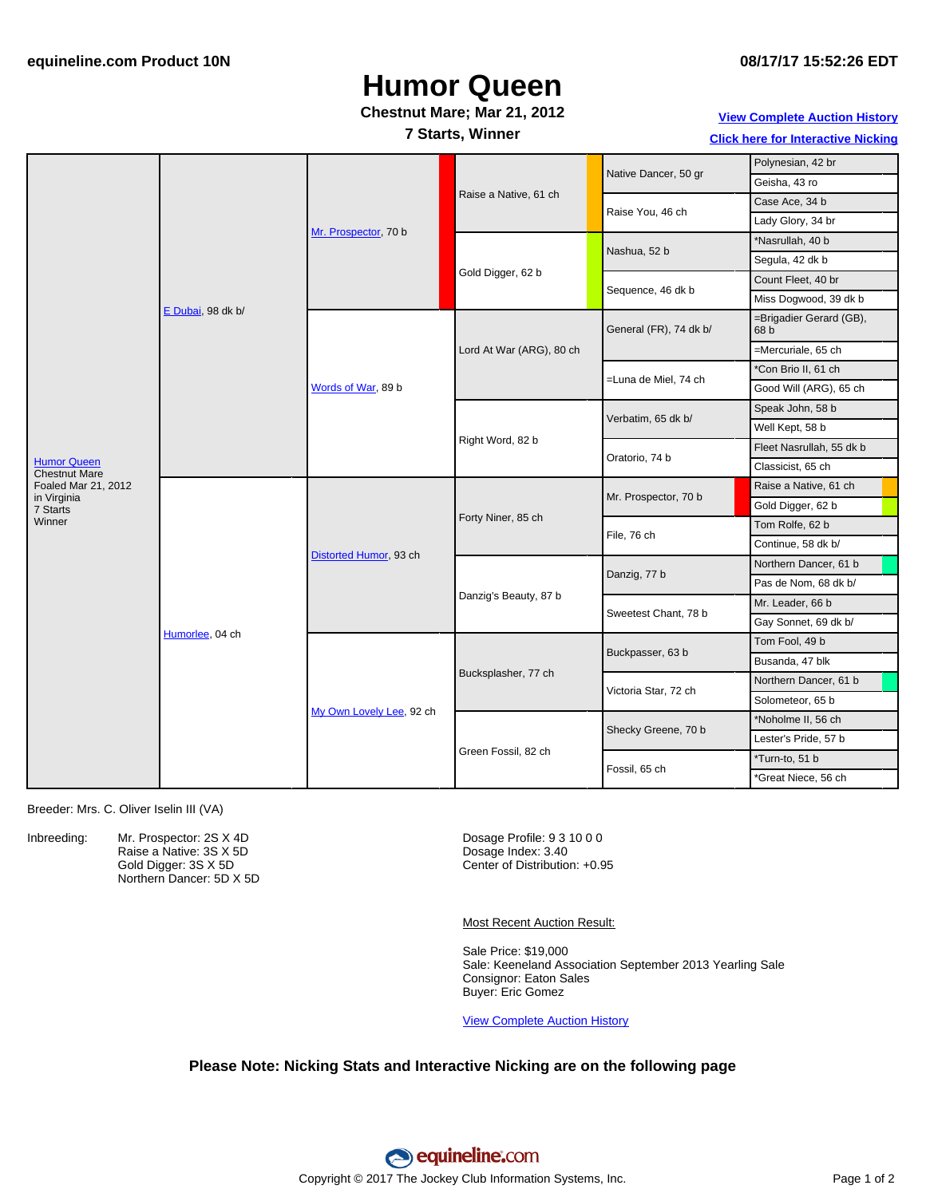# **Humor Queen**

### **Chestnut Mare; Mar 21, 2012**

### **7 Starts, Winner**

**View [Complete](http://www.equineline.com/Free-Auction-Results.cfm?upsellReferenceNumber=&upsellHorseName=&upsellBreedType=&upsellHorseType=&upsellYOB=&lookupAuctionResults=true&tempHorseType=&tempSale=ALL&tempYear=ALL&search_type=HORSE&reference_number=9324390&horse_name=Fateful&horse_type=ALL&year=ALL&sale=ALL&consignor_id=&consignor_name=&buyer_id=&buyer_name=&price_range_low=&price_range_high=&availableConsignors=&availableBuyers=&fromFree5CrossPedigree=Y) Auction History Click here for [Interactive](#page-1-0) Nicking**

|                                                                   | E Dubai, 98 dk b/ | Mr. Prospector, 70 b     | Raise a Native, 61 ch    | Native Dancer, 50 gr   | Polynesian, 42 br               |
|-------------------------------------------------------------------|-------------------|--------------------------|--------------------------|------------------------|---------------------------------|
|                                                                   |                   |                          |                          |                        | Geisha, 43 ro                   |
|                                                                   |                   |                          |                          | Raise You, 46 ch       | Case Ace, 34 b                  |
|                                                                   |                   |                          |                          |                        | Lady Glory, 34 br               |
|                                                                   |                   |                          | Gold Digger, 62 b        | Nashua, 52 b           | *Nasrullah, 40 b                |
|                                                                   |                   |                          |                          |                        | Segula, 42 dk b                 |
|                                                                   |                   |                          |                          | Sequence, 46 dk b      | Count Fleet, 40 br              |
|                                                                   |                   |                          |                          |                        | Miss Dogwood, 39 dk b           |
|                                                                   |                   | Words of War, 89 b       | Lord At War (ARG), 80 ch | General (FR), 74 dk b/ | =Brigadier Gerard (GB),<br>68 b |
|                                                                   |                   |                          |                          |                        | =Mercuriale, 65 ch              |
|                                                                   |                   |                          |                          | =Luna de Miel, 74 ch   | *Con Brio II, 61 ch             |
|                                                                   |                   |                          |                          |                        | Good Will (ARG), 65 ch          |
|                                                                   |                   |                          | Right Word, 82 b         | Verbatim, 65 dk b/     | Speak John, 58 b                |
| <b>Humor Queen</b><br><b>Chestnut Mare</b><br>Foaled Mar 21, 2012 |                   |                          |                          |                        | Well Kept, 58 b                 |
|                                                                   |                   |                          |                          | Oratorio, 74 b         | Fleet Nasrullah, 55 dk b        |
|                                                                   |                   |                          |                          |                        | Classicist, 65 ch               |
|                                                                   | Humorlee, 04 ch   | Distorted Humor, 93 ch   | Forty Niner, 85 ch       | Mr. Prospector, 70 b   | Raise a Native, 61 ch           |
| in Virginia<br>7 Starts                                           |                   |                          |                          |                        | Gold Digger, 62 b               |
| Winner                                                            |                   |                          |                          | File, 76 ch            | Tom Rolfe, 62 b                 |
|                                                                   |                   |                          |                          |                        | Continue, 58 dk b/              |
|                                                                   |                   |                          | Danzig's Beauty, 87 b    | Danzig, 77 b           | Northern Dancer, 61 b           |
|                                                                   |                   |                          |                          |                        | Pas de Nom, 68 dk b/            |
|                                                                   |                   |                          |                          | Sweetest Chant, 78 b   | Mr. Leader, 66 b                |
|                                                                   |                   |                          |                          |                        | Gay Sonnet, 69 dk b/            |
|                                                                   |                   | My Own Lovely Lee, 92 ch | Bucksplasher, 77 ch      | Buckpasser, 63 b       | Tom Fool, 49 b                  |
|                                                                   |                   |                          |                          |                        | Busanda, 47 blk                 |
|                                                                   |                   |                          |                          | Victoria Star, 72 ch   | Northern Dancer, 61 b           |
|                                                                   |                   |                          |                          |                        | Solometeor, 65 b                |
|                                                                   |                   |                          | Green Fossil, 82 ch      | Shecky Greene, 70 b    | *Noholme II, 56 ch              |
|                                                                   |                   |                          |                          |                        | Lester's Pride, 57 b            |
|                                                                   |                   |                          |                          | Fossil, 65 ch          | *Turn-to, 51 b                  |
|                                                                   |                   |                          |                          |                        | *Great Niece, 56 ch             |

Breeder: Mrs. C. Oliver Iselin III (VA)

Inbreeding: Mr. Prospector: 2S X 4D Raise a Native: 3S X 5D Gold Digger: 3S X 5D Northern Dancer: 5D X 5D

Dosage Profile: 9 3 10 0 0 Dosage Index: 3.40 Center of Distribution: +0.95

Most Recent Auction Result:

Sale Price: \$19,000 Sale: Keeneland Association September 2013 Yearling Sale Consignor: Eaton Sales Buyer: Eric Gomez

View [Complete](http://www.equineline.com/Free-Auction-Results.cfm?upsellReferenceNumber=&upsellHorseName=&upsellBreedType=&upsellHorseType=&upsellYOB=&lookupAuctionResults=true&tempHorseType=&tempSale=ALL&tempYear=ALL&search_type=HORSE&reference_number=9324390&horse_name=Fateful&horse_type=ALL&year=ALL&sale=ALL&consignor_id=&consignor_name=&buyer_id=&buyer_name=&price_range_low=&price_range_high=&availableConsignors=&availableBuyers=&fromFree5CrossPedigree=Y) Auction History

#### **Please Note: Nicking Stats and Interactive Nicking are on the following page**